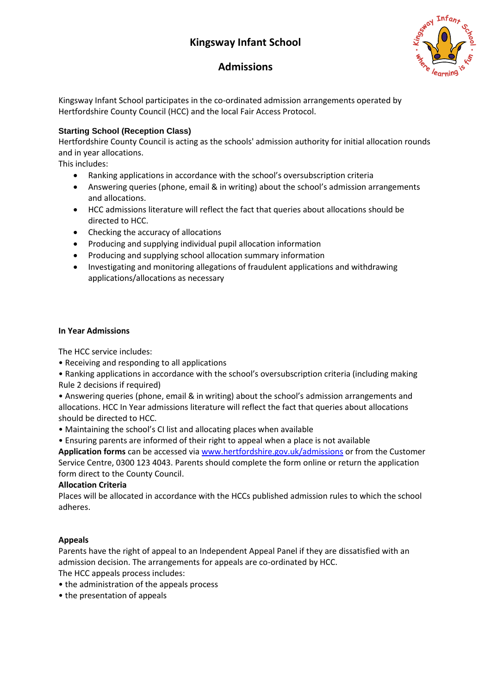# **Kingsway Infant School**



## **Admissions**

Kingsway Infant School participates in the co-ordinated admission arrangements operated by Hertfordshire County Council (HCC) and the local Fair Access Protocol.

## **Starting School (Reception Class)**

Hertfordshire County Council is acting as the schools' admission authority for initial allocation rounds and in year allocations.

This includes:

- Ranking applications in accordance with the school's oversubscription criteria
- Answering queries (phone, email & in writing) about the school's admission arrangements and allocations.
- HCC admissions literature will reflect the fact that queries about allocations should be directed to HCC.
- Checking the accuracy of allocations
- Producing and supplying individual pupil allocation information
- Producing and supplying school allocation summary information
- Investigating and monitoring allegations of fraudulent applications and withdrawing applications/allocations as necessary

#### **In Year Admissions**

The HCC service includes:

• Receiving and responding to all applications

• Ranking applications in accordance with the school's oversubscription criteria (including making Rule 2 decisions if required)

• Answering queries (phone, email & in writing) about the school's admission arrangements and allocations. HCC In Year admissions literature will reflect the fact that queries about allocations should be directed to HCC.

- Maintaining the school's CI list and allocating places when available
- Ensuring parents are informed of their right to appeal when a place is not available

**Application forms** can be accessed vi[a www.hertfordshire.gov.uk/admissions](http://www.hertfordshire.gov.uk/admissions) or from the Customer Service Centre, 0300 123 4043. Parents should complete the form online or return the application form direct to the County Council.

## **Allocation Criteria**

Places will be allocated in accordance with the HCCs published admission rules to which the school adheres.

## **Appeals**

Parents have the right of appeal to an Independent Appeal Panel if they are dissatisfied with an admission decision. The arrangements for appeals are co-ordinated by HCC.

The HCC appeals process includes:

- the administration of the appeals process
- the presentation of appeals